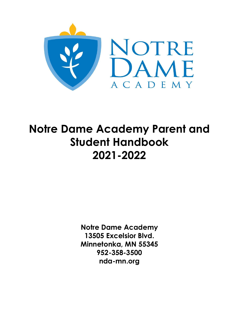

# **Notre Dame Academy Parent and Student Handbook 2021-2022**

**Notre Dame Academy 13505 Excelsior Blvd. Minnetonka, MN 55345 952-358-3500 nda-mn.org**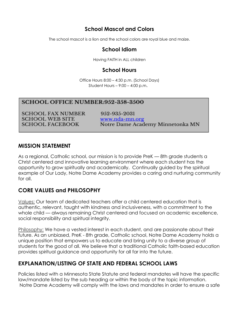# **School Mascot and Colors**

The school mascot is a lion and the school colors are royal blue and maize.

# **School Idiom**

Having FAITH in ALL children

# **School Hours**

Office Hours 8:00 – 4:30 p.m. (School Days) Student Hours – 9:00 – 4:00 p.m.

#### **SCHOOL OFFICE NUMBER:952-358-3500**

**SCHOOL FAX NUMBER SCHOOL WEB SITE SCHOOL FACEBOOK** 

952-935-2031 www.nda-mn.org Notre Dame Academy Minnetonka MN

### **MISSION STATEMENT**

As a reaional, Catholic school, our mission is to provide PreK - 8th grade students a Christ centered and innovative learning environment where each student has the opportunity to grow spiritually and academically. Continually guided by the spiritual example of Our Lady, Notre Dame Academy provides a caring and nurturing community for all.

# **CORE VALUES and PHILOSOPHY**

Values: Our team of dedicated teachers offer a child centered education that is authentic, relevant, taught with kindness and inclusiveness, with a commitment to the whole child — always remaining Christ centered and focused on academic excellence, social responsibility and spiritual integrity.

Philosophy: We have a vested interest in each student, and are passionate about their future. As an unbiased, PreK - 8th grade, Catholic school, Notre Dame Academy holds a unique position that empowers us to educate and bring unity to a diverse group of students for the good of all. We believe that a traditional Catholic faith-based education provides spiritual guidance and opportunity for all far into the future.

# **EXPLANATION/LISTING OF STATE AND FEDERAL SCHOOL LAWS**

Policies listed with a Minnesota State Statute and federal mandates will have the specific law/mandate listed by the sub heading or within the body of the topic information. Notre Dame Academy will comply with the laws and mandates in order to ensure a safe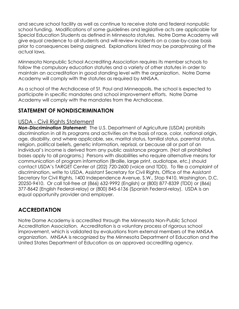and secure school facility as well as continue to receive state and federal nonpublic school funding. Modifications of some guidelines and legislative acts are applicable for Special Education Students as defined in Minnesota statutes. Notre Dame Academy will give equal credence to all students and will review incidents on a case-by-case basis prior to consequences being assigned. Explanations listed may be paraphrasing of the actual laws.

Minnesota Nonpublic School Accrediting Association requires its member schools to follow the compulsory education statutes and a variety of other statutes in order to maintain an accreditation in good standing level with the organization. Notre Dame Academy will comply with the statutes as required by MNSAA.

As a school of the Archdiocese of St. Paul and Minneapolis, the school is expected to participate in specific mandates and school improvement efforts. Notre Dame Academy will comply with the mandates from the Archdiocese.

# **STATEMENT OF NONDISCRIMINATION**

# USDA - Civil Rights Statement

*Non-Discrimination Statement:* The U.S. Department of Agriculture (USDA) prohibits discrimination in all its programs and activities on the basis of race, color, national origin, age, disability, and where applicable, sex, marital status, familial status, parental status, religion, political beliefs, genetic information, reprisal, or because all or part of an individual's income is derived from any public assistance program. (Not all prohibited bases apply to all programs.) Persons with disabilities who require alternative means for communication of program information (Braille, large print, audiotape, etc.) should contact USDA's TARGET Center at (202) 720-2600 (voice and TDD). To file a complaint of discrimination, write to USDA, Assistant Secretary for Civil Rights, Office of the Assistant Secretary for Civil Rights, 1400 Independence Avenue, S.W., Stop 9410, Washington, D.C. 20250-9410. Or call toll-free at (866) 632-9992 (English) or (800) 877-8339 (TDD) or (866) 377-8642 (English Federal-relay) or (800) 845-6136 (Spanish Federal-relay). USDA is an equal opportunity provider and employer.

# **ACCREDITATION**

Notre Dame Academy is accredited through the Minnesota Non-Public School Accreditation Association. Accreditation is a voluntary process of rigorous school improvement, which is validated by evaluations from external members of the MNSAA organization. MNSAA is recognized by the Minnesota Department of Education and the United States Department of Education as an approved accrediting agency.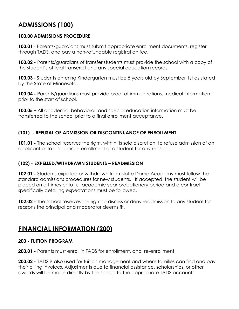# **ADMISSIONS (100)**

#### **100.00 ADMISSIONS PROCEDURE**

**100.01** - Parents/guardians must submit appropriate enrollment documents, register through TADS, and pay a non-refundable registration fee.

**100.02 -** Parents/guardians of transfer students must provide the school with a copy of the student's official transcript and any special education records.

**100.03** - Students entering Kindergarten must be 5 years old by September 1st as stated by the State of Minnesota.

**100.04 -** Parents/guardians must provide proof of immunizations, medical information prior to the start of school.

**100.05 –** All academic, behavioral, and special education information must be transferred to the school prior to a final enrollment acceptance.

### **(101) - REFUSAL OF ADMISSION OR DISCONTINUANCE OF ENROLLMENT**

**101.01 -** The school reserves the right, within its sole discretion, to refuse admission of an applicant or to discontinue enrollment of a student for any reason.

#### **(102) - EXPELLED/WITHDRAWN STUDENTS – READMISSION**

**102.01 -** Students expelled or withdrawn from Notre Dame Academy must follow the standard admissions procedures for new students. If accepted, the student will be placed on a trimester to full academic year probationary period and a contract specifically detailing expectations must be followed.

**102.02 -** The school reserves the right to dismiss or deny readmission to any student for reasons the principal and moderator deems fit.

# **FINANCIAL INFORMATION (200)**

#### **200 - TUITION PROGRAM**

**200.01 -** Parents must enroll in TADS for enrollment, and re-enrollment.

**200.02 -** TADS is also used for tuition management and where families can find and pay their billing invoices. Adjustments due to financial assistance, scholarships, or other awards will be made directly by the school to the appropriate TADS accounts.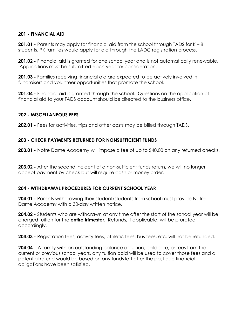#### **201 - FINANCIAL AID**

**201.01 -** Parents may apply for financial aid from the school through TADS for K – 8 students. PK families would apply for aid through the LADC registration process.

**201.02 -** Financial aid is granted for one school year and is not automatically renewable. Applications must be submitted each year for consideration.

**201.03 -** Families receiving financial aid are expected to be actively involved in fundraisers and volunteer opportunities that promote the school.

201.04 - Financial aid is granted through the school. Questions on the application of financial aid to your TADS account should be directed to the business office.

#### **202 - MISCELLANEOUS FEES**

**202.01 -** Fees for activities, trips and other costs may be billed through TADS.

#### **203 - CHECK PAYMENTS RETURNED FOR NONSUFFICIENT FUNDS**

**203.01 -** Notre Dame Academy will impose a fee of up to \$40.00 on any returned checks.

**203.02 -** After the second incident of a non-sufficient funds return, we will no longer accept payment by check but will require cash or money order.

#### **204 - WITHDRAWAL PROCEDURES FOR CURRENT SCHOOL YEAR**

**204.01 -** Parents withdrawing their student/students from school must provide Notre Dame Academy with a 30-day written notice.

**204.02 -** Students who are withdrawn at any time after the start of the school year will be charged tuition for the **entire trimester.** Refunds, if applicable, will be prorated accordingly.

**204.03 -** Registration fees, activity fees, athletic fees, bus fees, etc. will not be refunded.

**204.04 –** A family with an outstanding balance of tuition, childcare, or fees from the current or previous school years, any tuition paid will be used to cover those fees and a potential refund would be based on any funds left after the past due financial obligations have been satisfied.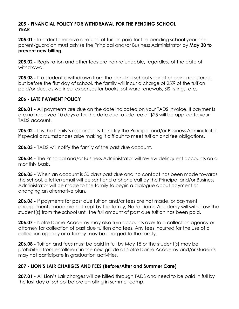#### **205 - FINANCIAL POLICY FOR WITHDRAWAL FOR THE PENDING SCHOOL YEAR**

**205.01 -** In order to receive a refund of tuition paid for the pending school year, the parent/guardian must advise the Principal and/or Business Administrator by **May 30 to prevent new billing.**

**205.02 -** Registration and other fees are non-refundable, regardless of the date of withdrawal.

**205.03 -** If a student is withdrawn from the pending school year after being registered, but before the first day of school, the family will incur a charge of 25% of the tuition paid/or due, as we incur expenses for books, software renewals, SIS listings, etc.

#### **206 - LATE PAYMENT POLICY**

**206.01 -** All payments are due on the date indicated on your TADS invoice. If payments are not received 10 days after the date due, a late fee of \$25 will be applied to your TADS account.

**206.02 -** It is the family's responsibility to notify the Principal and/or Business Administrator if special circumstances arise making it difficult to meet tuition and fee obligations.

**206.03 -** TADS will notify the family of the past due account.

**206.04 -** The Principal and/or Business Administrator will review delinquent accounts on a monthly basis.

**206.05 -** When an account is 30 days past due and no contact has been made towards the school, a letter/email will be sent and a phone call by the Principal and/or Business Administrator will be made to the family to begin a dialogue about payment or arranging an alternative plan.

**206.06 -** If payments for past due tuition and/or fees are not made, or payment arrangements made are not kept by the family, Notre Dame Academy will withdraw the student(s) from the school until the full amount of past due tuition has been paid.

**206.07 -** Notre Dame Academy may also turn accounts over to a collection agency or attorney for collection of past due tuition and fees. Any fees incurred for the use of a collection agency or attorney may be charged to the family.

**206.08 -** Tuition and fees must be paid in full by May 15 or the student(s) may be prohibited from enrollment in the next grade at Notre Dame Academy and/or students may not participate in graduation activities.

# **207 - LION'S LAIR CHARGES AND FEES (Before/After and Summer Care)**

**207.01 -** All Lion's Lair charges will be billed through TADS and need to be paid in full by the last day of school before enrolling in summer camp.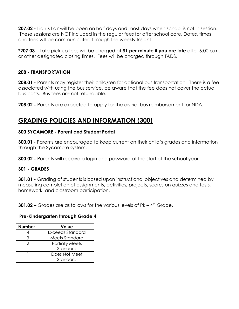**207.02 -** Lion's Lair will be open on half days and most days when school is not in session. These sessions are NOT included in the regular fees for after school care. Dates, times and fees will be communicated through the weekly Insight.

**\*207.03 –** Late pick up fees will be charged at **\$1 per minute if you are late** after 6:00 p.m. or other designated closing times. Fees will be charged through TADS.

#### **208 - TRANSPORTATION**

**208.01 -** Parents may register their child/ren for optional bus transportation. There is a fee associated with using the bus service, be aware that the fee does not cover the actual bus costs. Bus fees are not refundable.

**208.02 -** Parents are expected to apply for the district bus reimbursement for NDA.

# **GRADING POLICIES AND INFORMATION (300)**

#### **300 SYCAMORE - Parent and Student Portal**

**300.01** - Parents are encouraged to keep current on their child's grades and information through the Sycamore system.

**300.02 -** Parents will receive a login and password at the start of the school year.

#### **301 - GRADES**

**301.01 -** Grading of students is based upon instructional objectives and determined by measuring completion of assignments, activities, projects, scores on quizzes and tests, homework, and classroom participation.

**301.02 –** Grades are as follows for the various levels of Pk – 4<sup>th</sup> Grade.

#### **Pre-Kindergarten through Grade 4**

| <b>Number</b> | <b>Value</b>           |
|---------------|------------------------|
|               | Exceeds Standard       |
|               | Meets Standard         |
|               | <b>Partially Meets</b> |
|               | Standard               |
|               | Does Not Meet          |
|               | Standard               |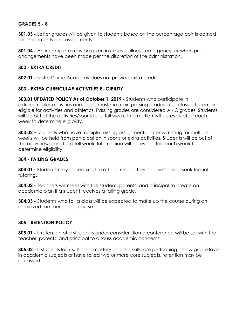#### **GRADES 5 - 8**

**301.03 -** Letter grades will be given to students based on the percentage points earned for assignments and assessments.

**301.04 -** An incomplete may be given in cases of illness, emergency, or when prior arrangements have been made per the discretion of the administration.

#### **302 - EXTRA CREDIT**

**302.01 -** Notre Dame Academy does not provide extra credit.

#### **303 - EXTRA CURRICULAR ACTIVITIES ELIGIBILITY**

**303.01 UPDATED POLICY As of October 1, 2019 -** Students who participate in extracurricular activities and sports must maintain passing grades in all classes to remain eligible for activities and athletics. Passing grades are considered A - C grades. Students will be out of the activities/sports for a full week. Information will be evaluated each week to determine eligibility.

**303.02 –** Students who have multiple missing assignments or items missing for multiple weeks will be held from participation in sports or extra activities. Students will be out of the activities/sports for a full week. Information will be evaluated each week to determine eligibility.

#### **304 - FAILING GRADES**

**304.01 -** Students may be required to attend mandatory help sessions or seek formal tutoring.

**304.02 -** Teachers will meet with the student, parents, and principal to create an academic plan if a student receives a failing grade.

**304.03 -** Students who fail a class will be expected to make up the course during an approved summer school course.

#### **305 - RETENTION POLICY**

**305.01 -** If retention of a student is under consideration a conference will be set with the teacher, parents, and principal to discuss academic concerns.

**305.02 -** If students lack sufficient mastery of basic skills, are performing below grade level in academic subjects or have failed two or more core subjects, retention may be discussed.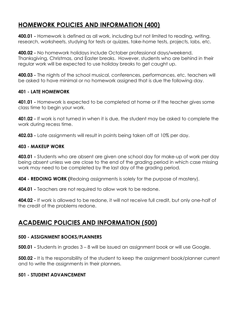# **HOMEWORK POLICIES AND INFORMATION (400)**

**400.01 -** Homework is defined as all work, including but not limited to reading, writing, research, worksheets, studying for tests or quizzes, take-home tests, projects, labs, etc.

**400.02 -** No homework holidays include October professional days/weekend, Thanksgiving, Christmas, and Easter breaks. However, students who are behind in their regular work will be expected to use holiday breaks to get caught up.

**400.03 -** The nights of the school musical, conferences, performances, etc. teachers will be asked to have minimal or no homework assigned that is due the following day.

#### **401 - LATE HOMEWORK**

**401.01 -** Homework is expected to be completed at home or if the teacher gives some class time to begin your work.

**401.02 -** If work is not turned in when it is due, the student may be asked to complete the work during recess time.

**402.03 -** Late assignments will result in points being taken off at 10% per day.

#### **403 - MAKEUP WORK**

**403.01 -** Students who are absent are given one school day for make-up of work per day being absent unless we are close to the end of the grading period in which case missing work may need to be completed by the last day of the grading period.

**404 - REDOING WORK (**Redoing assignments is solely for the purpose of mastery).

**404.01 -** Teachers are not required to allow work to be redone.

**404.02 -** If work is allowed to be redone, it will not receive full credit, but only one-half of the credit of the problems redone.

# **ACADEMIC POLICIES AND INFORMATION (500)**

#### **500 - ASSIGNMENT BOOKS/PLANNERS**

**500.01 -** Students in grades 3 – 8 will be issued an assignment book or will use Google.

**500.02 -** It is the responsibility of the student to keep the assignment book/planner current and to write the assignments in their planners.

#### **501 - STUDENT ADVANCEMENT**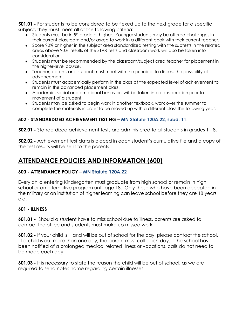**501.01 -** For students to be considered to be flexed up to the next grade for a specific subject, they must meet all of the following criteria:

- Students must be in 5<sup>th</sup> grade or higher. Younger students may be offered challenges in their current classroom and/or asked to work in a different book with their current teacher.
- Score 90% or higher in the subject area standardized testing with the subtests in the related areas above 90%, results of the STAR tests and classroom work will also be taken into consideration.
- Students must be recommended by the classroom/subject area teacher for placement in the higher-level course.
- Teacher, parent, and student must meet with the principal to discuss the possibility of advancement.
- Students must academically perform in the class at the expected level of achievement to remain in the advanced placement class.
- Academic, social and emotional behaviors will be taken into consideration prior to movement of a student.
- Students may be asked to begin work in another textbook, work over the summer to complete the materials in order to be moved up with a different class the following year.

# **502 - STANDARDIZED ACHIEVEMENT TESTING – MN Statute 120A.22, subd. 11.**

**502.01 -** Standardized achievement tests are administered to all students in grades 1 - 8.

**502.02 -** Achievement test data is placed in each student's cumulative file and a copy of the test results will be sent to the parents.

# **ATTENDANCE POLICIES AND INFORMATION (600)**

#### **600 - ATTENDANCE POLICY – MN Statute 120A.22**

Every child entering Kindergarten must graduate from high school or remain in high school or an alternative program until age 18. Only those who have been accepted in the military or an institution of higher learning can leave school before they are 18 years old.

#### **601 - ILLNESS**

**601.01 -** Should a student have to miss school due to illness, parents are asked to contact the office and students must make up missed work.

**601.02 -** If your child is ill and will be out of school for the day, please contact the school. If a child is out more than one day, the parent must call each day. If the school has been notified of a prolonged medical related illness or vacations, calls do not need to be made each day.

**601.03 -** It is necessary to state the reason the child will be out of school, as we are required to send notes home regarding certain illnesses.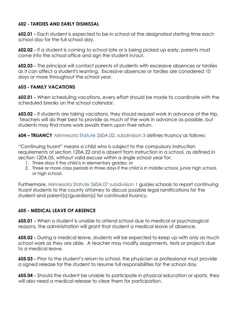#### **602 - TARDIES AND EARLY DISMISSAL**

**602.01 -** Each student is expected to be in school at the designated starting time each school day for the full school day.

**602.02 -** If a student is coming to school late or is being picked up early, parents must come into the school office and sign the student in/out.

**602.03 -** The principal will contact parents of students with excessive absences or tardies as it can affect a student's learning. Excessive absences or tardies are considered 10 days or more throughout the school year.

#### **603 - FAMILY VACATIONS**

**603.01 -** When scheduling vacations, every effort should be made to coordinate with the scheduled breaks on the school calendar.

**603.02 -** If students are taking vacations, they should request work in advance of the trip. Teachers will do their best to provide as much of the work in advance as possible, but students may find more work awaits them upon their return.

**604 – TRUANCY** Minnesota Statute 260A.02, subdivision 3 defines truancy as follows:

"Continuing truant" means a child who is subject to the compulsory instruction requirements of section 120A.22 and is absent from instruction in a school, as defined in section 120A.05, without valid excuse within a single school year for:

- 1. Three days if the child is in elementary grades: or
- 2. Three or more class periods in three days if the child is in middle school, junior high school, or high school.

Furthermore, Minnesota Statute 260A.07 subdivision 1 guides schools to report continuing truant students to the county attorney to discuss possible legal ramifications for the student and parent(s)/guardian(s) for continued truancy.

#### **605 - MEDICAL LEAVE OF ABSENCE**

**605.01 -** When a student is unable to attend school due to medical or psychological reasons, the administration will grant that student a medical leave of absence.

**605.02 -** During a medical leave, students will be expected to keep up with only as much school work as they are able. A teacher may modify assignments, tests or projects due to a medical leave.

**605.03 -** Prior to the student's return to school, the physician or professional must provide a signed release for the student to resume full responsibilities for the school day.

**605.04 -** Should the student be unable to participate in physical education or sports, they will also need a medical release to clear them for participation.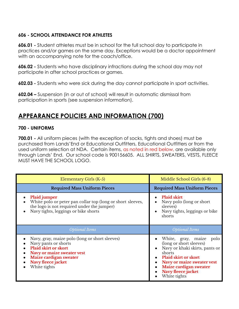#### **606 - SCHOOL ATTENDANCE FOR ATHLETES**

**606.01 -** Student athletes must be in school for the full school day to participate in practices and/or games on the same day. Exceptions would be a doctor appointment with an accompanying note for the coach/office.

**606.02 -** Students who have disciplinary infractions during the school day may not participate in after school practices or games.

**602.03 -** Students who were sick during the day cannot participate in sport activities.

**602.04 –** Suspension (in or out of school) will result in automatic dismissal from participation in sports (see suspension information).

# **APPEARANCE POLICIES AND INFORMATION (700)**

#### **700 - UNIFORMS**

**700.01 -** All uniform pieces (with the exception of socks, tights and shoes) must be purchased from Lands'End or Educational Outfitters, Educational Outfitters or from the used uniform selection at NDA. Certain items, as noted in red below, are available only through Lands' End. Our school code is 900156605. ALL SHIRTS, SWEATERS, VESTS, FLEECE MUST HAVE THE SCHOOL LOGO.

| Elementary Girls (K-5)                                                                                                                                                                              | Middle School Girls (6-8)                                                                                                                                                                                                             |
|-----------------------------------------------------------------------------------------------------------------------------------------------------------------------------------------------------|---------------------------------------------------------------------------------------------------------------------------------------------------------------------------------------------------------------------------------------|
| <b>Required Mass Uniform Pieces</b>                                                                                                                                                                 | <b>Required Mass Uniform Pieces</b>                                                                                                                                                                                                   |
| Plaid jumper<br>White polo or peter pan collar top (long or short sleeves,<br>the logo is not required under the jumper)<br>Navy tights, leggings or bike shorts                                    | <b>Plaid skirt</b><br>Navy polo (long or short)<br>sleeves)<br>Navy tights, leggings or bike<br>$\bullet$<br>shorts                                                                                                                   |
| <b>Optional Items</b>                                                                                                                                                                               | <b>Optional Items</b>                                                                                                                                                                                                                 |
| Navy, gray, maize polo (long or short sleeves)<br>Navy pants or shorts<br><b>Plaid skirt or skort</b><br>Navy or maize sweater vest<br>Maize cardigan sweater<br>Navy fleece jacket<br>White tights | White, gray, maize<br>polo<br>(long or short sleeves)<br>Navy or khaki skirts, pants or<br>shorts<br><b>Plaid skirt or skort</b><br><b>Navy or maize sweater vest</b><br>Maize cardigan sweater<br>Navy fleece jacket<br>White tights |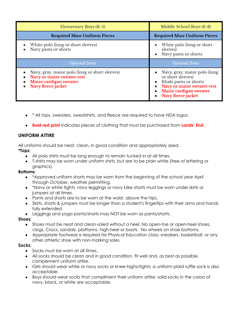| Elementary Boys (K-5)                                                                                                        | Middle School Boys (6-8)                                                                                                                                 |
|------------------------------------------------------------------------------------------------------------------------------|----------------------------------------------------------------------------------------------------------------------------------------------------------|
| <b>Required Mass Uniform Pieces</b>                                                                                          | <b>Required Mass Uniform Pieces</b>                                                                                                                      |
| White polo (long or short sleeves)<br>Navy pants or shorts                                                                   | White polo (long or short)<br>$\bullet$<br>sleeves)<br>Navy pants or shorts<br>$\bullet$                                                                 |
| <b>Optional Items</b>                                                                                                        | <b>Optional Items</b>                                                                                                                                    |
| Navy, gray, maize polo (long or short sleeves)<br>Navy or maize sweater vest<br>Maize cardigan sweater<br>Navy fleece jacket | Navy, gray, maize polo (long<br>or short sleeves)<br>Khaki pants or shorts<br>Navy or maize sweater vest<br>Maize cardigan sweater<br>Navy fleece jacket |

- \* All tops, sweaters, sweatshirts, and fleece are required to have NDA logos.
- **Bold red print** indicates pieces of clothing that must be purchased from **Lands' End.**

#### **UNIFORM ATTIRE**

All uniforms should be neat, clean, in good condition and appropriately sized.

#### **\*Tops**:

- All polo shirts must be long enough to remain tucked in at all times.
- T-shirts may be worn under uniform shirts, but are to be plain white (free of lettering or graphics).

#### **Bottoms**:

- \*Approved uniform shorts may be worn from the beginning of the school year April through October, weather permitting.
- \*Navy or white tights, navy leggings or navy bike shorts must be worn under skirts or jumpers at all times.
- Pants and shorts are to be worn at the waist, above the hips.
- Skirts, shorts & jumpers must be longer than a student's fingertips with their arms and hands fully extended.
- Leggings and yoga pants/shorts may NOT be worn as pants/shorts.

#### **Shoes**:

- Shoes must be neat and clean-soled without a heel. No open-toe or open-heel shoes, clogs, Crocs, sandals, platforms, high-heel or boots. No wheels on shoe bottoms.
- Appropriate footwear is required for Physical Education class: sneakers, basketball, or any other athletic shoe with non-marking soles.

#### **Socks**:

- Socks must be worn at all times.
- All socks should be clean and in good condition, fit well and, as best as possible, complement uniform attire.
- Girls should wear white or navy socks or knee-highs/tights; a uniform plaid ruffle sock is also acceptable.
- Boys should wear socks that compliment their uniform attire; solid socks in the colors of navy, black, or white are acceptable.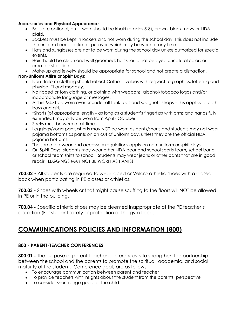#### **Accessories and Physical Appearance**:

- Belts are optional, but if worn should be khaki (grades 5-8), brown, black, navy or NDA plaid.
- Jackets must be kept in lockers and not worn during the school day. This does not include the uniform fleece jacket or pullover, which may be worn at any time.
- Hats and sunglasses are not to be worn during the school day unless authorized for special events.
- Hair should be clean and well groomed; hair should not be dyed unnatural colors or create distraction.
- Make-up and jewelry should be appropriate for school and not create a distraction.

#### **Non-Uniform Attire or Spirit Days**:

- Non-Uniform clothing should reflect Catholic values with respect to graphics, lettering and physical fit and modesty.
- No ripped or torn clothing, or clothing with weapons, alcohol/tobacco logos and/or inappropriate language or messages.
- A shirt MUST be worn over or under all tank tops and spaghetti straps this applies to both boys and girls.
- \*Shorts (of appropriate length as long as a student's fingertips with arms and hands fully extended) may only be worn from April - October.
- Socks must be worn at all times.
- Leggings/yoga pants/shorts may NOT be worn as pants/shorts and students may not wear pajama bottoms as pants on an out of uniform day, unless they are the official NDA pajama bottoms.
- The same footwear and accessory regulations apply on non-uniform or spirit days.
- On Spirit Days, students may wear other NDA gear and school sports team, school band, or school team shirts to school. Students may wear jeans or other pants that are in good repair. LEGGINGS MAY NOT BE WORN AS PANTS!

**700.02 -** All students are required to wear laced or Velcro athletic shoes with a closed back when participating in PE classes or athletics.

**700.03 -** Shoes with wheels or that might cause scuffing to the floors will NOT be allowed in PE or in the building.

**700.04 -** Specific athletic shoes may be deemed inappropriate at the PE teacher's discretion (For student safety or protection of the gym floor).

# **COMMUNICATIONS POLICIES AND INFORMATION (800)**

# **800 - PARENT-TEACHER CONFERENCES**

**800.01 -** The purpose of parent-teacher conferences is to strengthen the partnership between the school and the parents to promote the spiritual, academic, and social maturity of the student. Conference goals are as follows:

- To encourage communication between parent and teacher
- To provide teachers with insights about the student from the parents' perspective
- To consider short-range goals for the child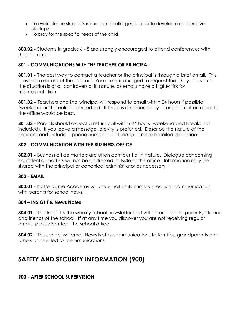- To evaluate the student's immediate challenges in order to develop a cooperative strategy
- To pray for the specific needs of the child

**800.02 -** Students in grades 6 - 8 are strongly encouraged to attend conferences with their parents.

#### **801 - COMMUNICATIONS WITH THE TEACHER OR PRINCIPAL**

**801.01 -** The best way to contact a teacher or the principal is through a brief email. This provides a record of the contact. You are encouraged to request that they call you if the situation is at all controversial in nature, as emails have a higher risk for misinterpretation.

**801.02 –** Teachers and the principal will respond to email within 24 hours if possible (weekend and breaks not included). If there is an emergency or urgent matter, a call to the office would be best.

**801.03 -** Parents should expect a return call within 24 hours (weekend and breaks not included). If you leave a message, brevity is preferred. Describe the nature of the concern and include a phone number and time for a more detailed discussion.

#### **802 - COMMUNICATION WITH THE BUSINESS OFFICE**

**802.01 -** Business office matters are often confidential in nature. Dialogue concerning confidential matters will not be addressed outside of the office. Information may be shared with the principal or canonical administrator as necessary.

#### **803 - EMAIL**

**803.01 -** Notre Dame Academy will use email as its primary means of communication with parents for school news.

#### **804 – INSIGHT & News Notes**

**804.01 –** The Insight is the weekly school newsletter that will be emailed to parents, alumni and friends of the school. If at any time you discover you are not receiving regular emails, please contact the school office.

**804.02 –** The school will email News Notes communications to families, grandparents and others as needed for communications.

# **SAFETY AND SECURITY INFORMATION (900)**

#### **900 - AFTER SCHOOL SUPERVISION**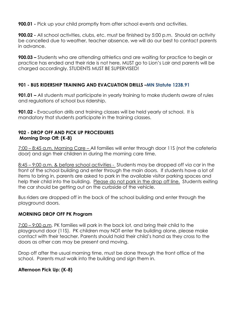**900.01 -** Pick up your child promptly from after school events and activities.

**900.02** - All school activities, clubs, etc. must be finished by 5:00 p.m. Should an activity be cancelled due to weather, teacher absence, we will do our best to contact parents in advance.

**900.03 –** Students who are attending athletics and are waiting for practice to begin or practice has ended and their ride is not here, MUST go to Lion's Lair and parents will be charged accordingly. STUDENTS MUST BE SUPERVISED!

#### **901 - BUS RIDERSHIP TRAINING AND EVACUATION DRILLS –MN Statute 123B.91**

**901.01 –** All students must participate in yearly training to make students aware of rules and regulations of school bus ridership.

**901.02 -** Evacuation drills and training classes will be held yearly at school. It is mandatory that students participate in the training classes.

#### **902 - DROP OFF AND PICK UP PROCEDURES Morning Drop Off: (K-8)**

7:00 – 8:45 a.m. Morning Care – All families will enter through door 11S (not the cafeteria door) and sign their children in during the morning care time.

8:45 – 9:00 a.m. & before school activities - Students may be dropped off via car in the front of the school building and enter through the main doors. If students have a lot of items to bring in, parents are asked to park in the available visitor parking spaces and help their child into the building. Please do not park in the drop off line. Students exiting the car should be getting out on the curbside of the vehicle.

Bus riders are dropped off in the back of the school building and enter through the playground doors.

#### **MORNING DROP OFF PK Program**

7:00 – 9:00 a.m. PK families will park in the back lot, and bring their child to the playground door (11S). PK children may NOT enter the building alone, please make contact with their teacher. Parents should hold their child's hand as they cross to the doors as other cars may be present and moving.

Drop off after the usual morning time, must be done through the front office of the school. Parents must walk into the building and sign them in.

#### **Afternoon Pick Up: (K-8)**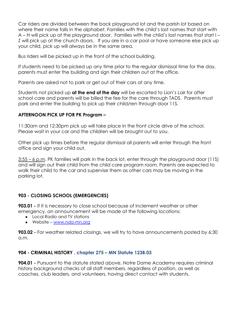Car riders are divided between the back playground lot and the parish lot based on where their name falls in the alphabet. Families with the child's last names that start with A – H will pick up at the playground door. Families with the child's last names that start I – Z will pick up at the church doors. If you are in a car pool or have someone else pick up your child, pick up will always be in the same area.

Bus riders will be picked up in the front of the school building.

If students need to be picked up any time prior to the regular dismissal time for the day, parents must enter the building and sign their children out at the office.

Parents are asked not to park or get out of their cars at any time.

Students not picked up **at the end of the day** will be escorted to Lion's Lair for after school care and parents will be billed the fee for the care through TADS. Parents must park and enter the building to pick up their child/ren through door 11S.

#### **AFTERNOON PICK UP FOR PK Program –**

11:30am and 12:30pm pick up will take place in the front circle drive of the school. Please wait in your car and the children will be brought out to you.

Other pick up times before the regular dismissal all parents will enter through the front office and sign your child out.

3:55 – 6 p.m. PK families will park in the back lot, enter through the playground door (11S) and will sign out their child from the child care program room. Parents are expected to walk their child to the car and supervise them as other cars may be moving in the parking lot.

# **903 - CLOSING SCHOOL (EMERGENCIES)**

**903.01 -** If it is necessary to close school because of inclement weather or other emergency, an announcement will be made at the following locations:

- Local Radio and TV stations
- Website [www.nda-mn.org](http://www.nda-mn.org)

**903.02 -** For weather related closings, we will try to have announcements posted by 6:30 a.m.

# **904 - CRIMINAL HISTORY , chapter 275 – MN Statute 123B.03**

**904.01 -** Pursuant to the statute stated above, Notre Dame Academy requires criminal history background checks of all staff members, regardless of position, as well as coaches, club leaders, and volunteers, having direct contact with students.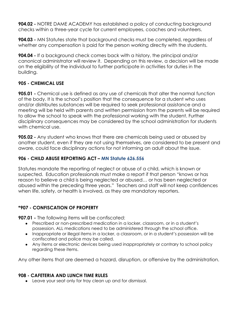**904.02 -** NOTRE DAME ACADEMY has established a policy of conducting background checks within a three-year cycle for current employees, coaches and volunteers.

**904.03 -** MN Statutes state that background checks must be completed, regardless of whether any compensation is paid for the person working directly with the students.

**904.04 -** If a background check comes back with a history, the principal and/or canonical administrator will review it. Depending on this review, a decision will be made on the eligibility of the individual to further participate in activities for duties in the building.

#### **905 - CHEMICAL USE**

**905.01 -** Chemical use is defined as any use of chemicals that alter the normal function of the body. It is the school's position that the consequence for a student who uses and/or distributes substances will be required to seek professional assistance and a meeting will be held with parents and written permission from the parents will be required to allow the school to speak with the professional working with the student. Further disciplinary consequences may be considered by the school administration for students with chemical use.

**905.02 -** Any student who knows that there are chemicals being used or abused by another student, even if they are not using themselves, are considered to be present and aware, could face disciplinary actions for not informing an adult about the issue.

#### **906 - CHILD ABUSE REPORTING ACT – MN Statute 626.556**

Statutes mandate the reporting of neglect or abuse of a child, which is known or suspected. Education professionals must make a report if that person "knows or has reason to believe a child is being neglected or abused… or has been neglected or abused within the preceding three years." Teachers and staff will not keep confidences when life, safety, or health is involved, as they are mandatory reporters.

# **\*907 - CONFISCATION OF PROPERTY**

**907.01 -** The following items will be confiscated:

- Prescribed or non-prescribed medication in a locker, classroom, or in a student's possession. ALL medications need to be administered through the school office.
- Inappropriate or illegal items in a locker, a classroom, or in a student's possession will be confiscated and police may be called.
- Any items or electronic devices being used inappropriately or contrary to school policy regarding these items.

Any other items that are deemed a hazard, disruption, or offensive by the administration.

#### **908 - CAFETERIA AND LUNCH TIME RULES**

● Leave your seat only for tray clean up and for dismissal.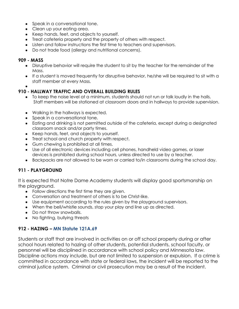- Speak in a conversational tone.
- Clean up your eating area.
- Keep hands, feet, and objects to yourself.
- Treat cafeteria property and the property of others with respect.
- Listen and follow instructions the first time to teachers and supervisors.
- Do not trade food (allergy and nutritional concerns).

#### **909 - MASS**

- Disruptive behavior will require the student to sit by the teacher for the remainder of the Mass.
- If a student is moved frequently for disruptive behavior, he/she will be required to sit with a staff member at every Mass.
- ●

#### **910 - HALLWAY TRAFFIC AND OVERALL BUILDING RULES**

- To keep the noise level at a minimum, students should not run or talk loudly in the halls. Staff members will be stationed at classroom doors and in hallways to provide supervision.
- Walking in the hallways is expected.
- Speak in a conversational tone.
- Eating and drinking is not permitted outside of the cafeteria, except during a designated classroom snack and/or party times.
- Keep hands, feet, and objects to yourself.
- Treat school and church property with respect.
- Gum chewing is prohibited at all times.
- Use of all electronic devices including cell phones, handheld video games, or laser devices is prohibited during school hours, unless directed to use by a teacher.
- Backpacks are not allowed to be worn or carried to/in classrooms during the school day.

#### **911 - PLAYGROUND**

It is expected that Notre Dame Academy students will display good sportsmanship on the playground.

- Follow directions the first time they are given.
- Conversation and treatment of others is to be Christ-like.
- Use equipment according to the rules given by the playground supervisors.
- When the bell/whistle sounds, stop your play and line up as directed.
- Do not throw snowballs.
- No fighting, bullying threats

#### **912 - HAZING – MN Statute 121A.69**

Students or staff that are involved in activities on or off school property during or after school hours related to hazing of other students, potential students, school faculty, or personnel will be disciplined in accordance with school policy and Minnesota law. Discipline actions may include, but are not limited to suspension or expulsion. If a crime is committed in accordance with state or federal laws, the incident will be reported to the criminal justice system. Criminal or civil prosecution may be a result of the incident.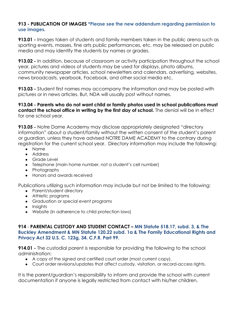#### **913 - PUBLICATION OF IMAGES \*Please see the new addendum regarding permission to use images.**

**913.01 -** Images taken of students and family members taken in the public arena such as sporting events, masses, fine arts public performances, etc. may be released on public media and may identify the students by names or grades.

**913.02 -** In addition, because of classroom or activity participation throughout the school year, pictures and videos of students may be used for displays, photo albums, community newspaper articles, school newsletters and calendars, advertising, websites, news broadcasts, yearbook, Facebook, and other social media etc.

**913.03 -** Student first names may accompany the information and may be posted with pictures or in news articles. But, NDA will usually post without names.

**913.04 - Parents who do not want child or family photos used in school publications must contact the school office in writing by the first day of school.** The denial will be in effect for one school year.

**913.05 -** Notre Dame Academy may disclose appropriately designated "directory information" about a student/family without the written consent of the student's parent or guardian, unless they have advised NOTRE DAME ACADEMY to the contrary during registration for the current school year. Directory information may include the following:

- Name
- Address
- Grade Level
- Telephone (main home number, not a student's cell number)
- Photographs
- Honors and awards received

Publications utilizing such information may include but not be limited to the following:

- Parent/student directory
- Athletic programs
- Graduation or special event programs
- Insights
- Website (in adherence to child protection laws)

#### **914** - **PARENTAL CUSTODY AND STUDENT CONTACT – MN Statute 518.17, subd. 3, & The Buckley Amendment & MN Statute 120.22 subd. 1a & The Family Educational Rights and Privacy Act 32 U.S. C. 123g, 34. C.F.R. Part 99.**

**914.01 -** The custodial parent is responsible for providing the following to the school administration:

- A copy of the signed and certified court order (most current copy).
- Court order revisions/updates that affect custody, visitation, or record-access rights.

It is the parent/guardian's responsibility to inform and provide the school with current documentation if anyone is legally restricted from contact with his/her children.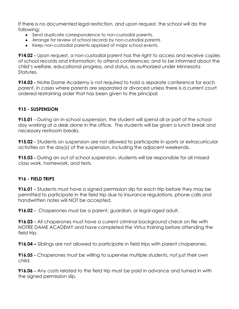If there is no documented legal restriction, and upon request, the school will do the following:

- Send duplicate correspondence to non-custodial parents.
- Arrange for review of school records by non-custodial parents
- Keep non-custodial parents apprised of major school events.

**914.02 -** Upon request, a non-custodial parent has the right to access and receive copies of school records and information; to attend conferences; and to be informed about the child's welfare, educational progress, and status, as authorized under Minnesota Statutes.

**914.03 -** Notre Dame Academy is not required to hold a separate conference for each parent, in cases where parents are separated or divorced unless there is a current court ordered restraining order that has been given to the principal.

#### **915 - SUSPENSION**

**915.01 -** During an in-school suspension, the student will spend all or part of the school day working at a desk alone in the office. The students will be given a lunch break and necessary restroom breaks.

**915.02 -** Students on suspension are not allowed to participate in sports or extracurricular activities on the day(s) of the suspension, including the adjacent weekends.

**915.03 -** During an out of school suspension, students will be responsible for all missed class work, homework, and tests.

#### **916 - FIELD TRIPS**

**916.01 -** Students must have a signed permission slip for each trip before they may be permitted to participate in the field trip due to insurance regulations, phone calls and handwritten notes will NOT be accepted.

**916.02 -** Chaperones must be a parent, guardian, or legal-aged adult.

**916.03 -** All chaperones must have a current criminal background check on file with NOTRE DAME ACADEMY and have completed the Virtus training before attending the field trip.

**916.04 –** Siblings are not allowed to participate in field trips with parent chaperones.

**916.05 -** Chaperones must be willing to supervise multiple students, not just their own child.

**916.06 -** Any costs related to the field trip must be paid in advance and turned in with the signed permission slip.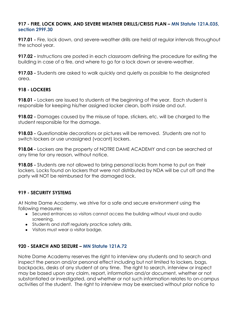#### **917 - FIRE, LOCK DOWN, AND SEVERE WEATHER DRILLS/CRISIS PLAN – MN Statute 121A.035, section 299F.30**

**917.01 -** Fire, lock down, and severe-weather drills are held at regular intervals throughout the school year.

**917.02 -** Instructions are posted in each classroom defining the procedure for exiting the building in case of a fire, and where to go for a lock down or severe-weather.

**917.03 -** Students are asked to walk quickly and quietly as possible to the designated area.

#### **918 - LOCKERS**

**918.01 -** Lockers are issued to students at the beginning of the year. Each student is responsible for keeping his/her assigned locker clean, both inside and out.

**918.02 -** Damages caused by the misuse of tape, stickers, etc. will be charged to the student responsible for the damage.

**918.03 -** Questionable decorations or pictures will be removed. Students are not to switch lockers or use unassigned (vacant) lockers.

**918.04 -** Lockers are the property of NOTRE DAME ACADEMY and can be searched at any time for any reason, without notice.

**918.05 -** Students are not allowed to bring personal locks from home to put on their lockers. Locks found on lockers that were not distributed by NDA will be cut off and the party will NOT be reimbursed for the damaged lock.

#### **919 - SECURITY SYSTEMS**

At Notre Dame Academy, we strive for a safe and secure environment using the following measures:

- Secured entrances so visitors cannot access the building without visual and audio screening.
- Students and staff regularly practice safety drills.
- Visitors must wear a visitor badge.

#### **920 - SEARCH AND SEIZURE – MN Statute 121A.72**

Notre Dame Academy reserves the right to interview any students and to search and inspect the person and/or personal effect including but not limited to lockers, bags, backpacks, desks of any student at any time. The right to search, interview or inspect may be based upon any claim, report, information and/or document, whether or not substantiated or investigated, and whether or not such information relates to on-campus activities of the student. The right to interview may be exercised without prior notice to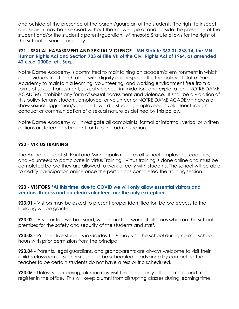and outside of the presence of the parent/guardian of the student. The right to inspect and search may be exercised without the knowledge of and outside the presence of the student and/or the student's parent/guardian. Minnesota Statute allows for the riaht of the school to search property.

#### **921 - SEXUAL HARASSMENT AND SEXUAL VIOLENCE – MN Statute 363.01-363.14, the MN Human Rights Act and Section 703 of Title VII of the Civil Rights Act of 1964, as amended, 42 u.s.c. 2000e, et,. Seq.**

Notre Dame Academy is committed to maintaining an academic environment in which all individuals treat each other with dignity and respect. It is the policy of Notre Dame Academy to maintain a learning, volunteering, and working environment free from all forms of sexual harassment, sexual violence, intimidation, and exploitation. NOTRE DAME ACADEMY prohibits any form of sexual harassment and violence. It shall be a violation of this policy for any student, employee, or volunteer or NOTRE DAME ACADEMY harass or show sexual aggression/violence toward a student, employee, or volunteer through conduct or communication of a sexual nature as defined by this policy.

Notre Dame Academy will investigate all complaints, formal or informal, verbal or written actions or statements brought forth to the administration.

#### **922 - VIRTUS TRAINING**

The Archdiocese of St. Paul and Minneapolis requires all school employees, coaches, and volunteers to participate in Virtus Training. Virtus training is done online and must be completed before they are allowed to work directly with students. The school will be able to certify participation online once the person has completed the training session.

#### **923 - VISITORS \*At this time, due to COVID we will only allow essential visitors and vendors. Recess and cafeteria volunteers are the only exception.**

**923.01 -** Visitors may be asked to present proper identification before access to the building will be granted.

**923.02 -** A visitor tag will be issued, which must be worn at all times while on the school premises for the safety and security of the students and staff.

**923.03 -** Prospective students in Grades 1 – 8 may visit the school during normal school hours with prior permission from the principal.

**923.04 -** Parents, legal guardians, and grandparents are always welcome to visit their child's classrooms. Such visits should be scheduled in advance by contacting the teacher to be certain students do not have a test or trip scheduled.

**923.05 -** Unless volunteering, alumni may visit the school only after dismissal and must register in the office. This will keep alumni from disrupting classes during learning time.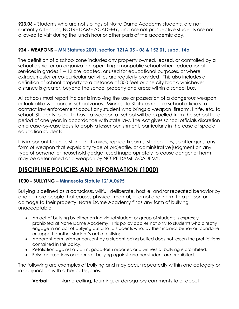**923.06 -** Students who are not siblings of Notre Dame Academy students, are not currently attending NOTRE DAME ACADEMY, and are not prospective students are not allowed to visit during the lunch hour or other parts of the academic day.

### **924 - WEAPONS – MN Statutes 2001, section 121A.05 - 06 & 152.01, subd. 14a**

The definition of a school zone includes any property owned, leased, or controlled by a school district or an organization operating a nonpublic school where educational services in grades 1 – 12 are located, or used for educational purposes, or where extracurricular or co-curricular activities are regularly provided. This also includes a definition of school property to a distance of 300 feet or one city block, whichever distance is greater, beyond the school property and areas within a school bus.

All schools must report incidents involving the use or possession of a dangerous weapon, or look alike weapons in school zones. Minnesota Statutes require school officials to contact law enforcement about any student who brings a weapon, firearm, knife, etc. to school. Students found to have a weapon at school will be expelled from the school for a period of one year, in accordance with state law. The Act gives school officials discretion on a case-by-case basis to apply a lesser punishment, particularly in the case of special education students.

It is important to understand that knives, replica firearms, starter guns, splatter guns, any form of weapon that expels any type of projectile, or administrative judgment on any type of personal or household gadget used inappropriately to cause danger or harm may be determined as a weapon by NOTRE DAME ACADEMY.

# **DISCIPLINE POLICIES AND INFORMATION (1000)**

#### **1000 - BULLYING – Minnesota Statute 121A.0695**

Bullying is defined as a conscious, willful, deliberate, hostile, and/or repeated behavior by one or more people that causes physical, mental, or emotional harm to a person or damage to their property. Notre Dame Academy finds any form of bullying unacceptable.

- An act of bullying by either an individual student or group of students is expressly prohibited at Notre Dame Academy. This policy applies not only to students who directly engage in an act of bullying but also to students who, by their indirect behavior, condone or support another student's act of bullying.
- Apparent permission or consent by a student being bullied does not lessen the prohibitions contained in this policy.
- Retaliation against a victim, good-faith reporter, or a witness of bullying is prohibited.
- False accusations or reports of bullying against another student are prohibited.

The following are examples of bullying and may occur repeatedly within one category or in conjunction with other categories.

**Verbal:** Name-calling, taunting, or derogatory comments to or about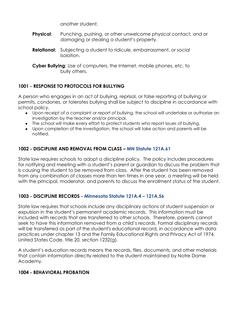another student.

- **Physical:** Punching, pushing, or other unwelcome physical contact, and or damaging or stealing a student's property.
- **Relational:** Subjecting a student to ridicule, embarrassment, or social isolation.

**Cyber Bullying**: Use of computers, the Internet, mobile phones, etc. to bully others.

# **1001 - RESPONSE TO PROTOCOLS FOR BULLYING**

A person who engages in an act of bullying, reprisal, or false reporting of bullying or permits, condones, or tolerates bullying shall be subject to discipline in accordance with school policy.

- Upon receipt of a complaint or report of bullying, the school will undertake or authorize an investigation by the teacher and/or principal.
- The school will make every effort to protect students who report issues of bullying.
- Upon completion of the investigation, the school will take action and parents will be notified.

# **1002 - DISCIPLINE AND REMOVAL FROM CLASS – MN Statute 121A.61**

State law requires schools to adopt a discipline policy. The policy includes procedures for notifying and meeting with a student's parent or guardian to discuss the problem that is causing the student to be removed from class. After the student has been removed from any combination of classes more than ten times in one year, a meeting will be held with the principal, moderator, and parents to discuss the enrollment status of the student.

# **1003 - DISCIPLINE RECORDS - Minnesota Statute 121A.4 – 121A.56**

State law requires that schools include any disciplinary actions of student suspension or expulsion in the student's permanent academic records. This information must be included with records that are transferred to other schools. Therefore, parents cannot seek to have this information removed from a child's records. Formal disciplinary records will be transferred as part of the student's educational record, in accordance with data practices under chapter 13 and the Family Educational Rights and Privacy Act of 1974, United States Code, title 20, section 1232(g).

A student's education records means the records, files, documents, and other materials that contain information directly related to the student maintained by Notre Dame Academy.

# **1004 - BEHAVIORAL PROBATION**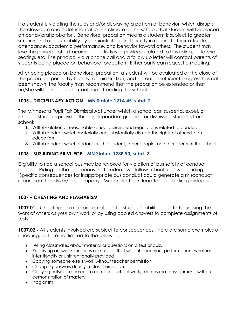If a student is violating the rules and/or displaying a pattern of behavior, which disrupts the classroom and is detrimental to the climate of the school, that student will be placed on behavioral probation. Behavioral probation means a student is subject to greater scrutiny and accountability by administration and faculty in regard to their attitude, attendance, academic performance, and behavior toward others. The student may lose the privilege of extracurricular activities or privileges related to bus riding, cafeteria seating, etc. The principal via a phone call and a follow up letter will contact parents of students being placed on behavioral probation. Either party can request a meeting.

After being placed on behavioral probation, a student will be evaluated at the close of the probation period by faculty, administration, and parent. If sufficient progress has not been shown, the faculty may recommend that the probation be extended or that he/she will be ineligible to continue attending the school.

# **1005 - DISCIPLINARY ACTION – MN Statute 121A.45, subd. 2**

The Minnesota Pupil Fair Dismissal Act under which a school can suspend, expel, or exclude students provides three independent grounds for dismissing students from school:

- 1. Willful violation of reasonable school policies and regulations related to conduct.
- 2. Willful conduct which materially and substantially disrupts the rights of others to an education.
- 3. Willful conduct which endangers the student, other people, or the property of the school.

# **1006 - BUS RIDING PRIVILEGE – MN Statute 123B.90, subd. 2**

Eligibility to ride a school bus may be revoked for violation of bus safety of conduct policies. Riding on the bus means that students will follow school rules when riding. Specific consequences for inappropriate bus conduct could generate a misconduct report from the driver/bus company. Misconduct can lead to loss of riding privileges.

# **1007 – CHEATING AND PLAGIARISM**

**1007.01 -** Cheating is a misrepresentation of a student's abilities or efforts by using the work of others as your own work or by using copied answers to complete assignments of tests.

**1007.02 -** All students involved are subject to consequences. Here are some examples of cheating, but are not limited to the following:

- Telling classmates about material or questions on a test or quiz.
- Receiving answers/questions or material that will enhance your performance, whether intentionally or unintentionally provided.
- Copying someone else's work without teacher permission.
- Changing answers during in-class correction.
- Copying outside resources to complete school work, such as math assignment, without demonstration of mastery
- Plagiarism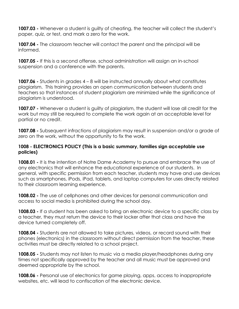**1007.03 -** Whenever a student is guilty of cheating, the teacher will collect the student's paper, quiz, or test, and mark a zero for the work.

**1007.04 -** The classroom teacher will contact the parent and the principal will be informed.

**1007.05 -** If this is a second offense, school administration will assign an in-school suspension and a conference with the parents.

**1007.06 -** Students in grades 4 – 8 will be instructed annually about what constitutes plagiarism. This training provides an open communication between students and teachers so that instances of student plagiarism are minimized while the significance of plagiarism is understood.

**1007.07 -** Whenever a student is guilty of plagiarism, the student will lose all credit for the work but may still be required to complete the work again at an acceptable level for partial or no credit.

**1007.08 -** Subsequent infractions of plagiarism may result in suspension and/or a grade of zero on the work, without the opportunity to fix the work.

#### **1008 - ELECTRONICS POLICY (This is a basic summary, families sign acceptable use policies)**

**1008.01 -** It is the intention of Notre Dame Academy to pursue and embrace the use of any electronics that will enhance the educational experience of our students. In general, with specific permission from each teacher, students may have and use devices such as smartphones, iPods, iPad, tablets, and laptop computers for uses directly related to their classroom learning experience.

**1008.02 -** The use of cellphones and other devices for personal communication and access to social media is prohibited during the school day.

**1008.03 -** If a student has been asked to bring an electronic device to a specific class by a teacher, they must return the device to their locker after that class and have the device turned completely off.

**1008.04 -** Students are not allowed to take pictures, videos, or record sound with their phones (electronics) in the classroom without direct permission from the teacher, these activities must be directly related to a school project.

**1008.05 -** Students may not listen to music via a media player/headphones during any times not specifically approved by the teacher and all music must be approved and deemed appropriate by the school.

**1008.06 -** Personal use of electronics for game playing, apps, access to inappropriate websites, etc. will lead to confiscation of the electronic device.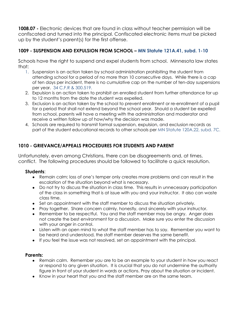**1008.07 -** Electronic devices that are found in class without teacher permission will be confiscated and turned into the principal. Confiscated electronic items must be picked up by the student's parent(s) for the first offense.

### **1009 - SUSPENSION AND EXPULSION FROM SCHOOL – MN Statute 121A.41, subd. 1-10**

Schools have the right to suspend and expel students from school. Minnesota law states that:

- 1. Suspension is an action taken by school administration prohibiting the student from attending school for a period of no more than 10 consecutive days. While there is a cap of ten days per incident, there is no cumulative cap on the number of ten-day suspensions per year. 34 C.F.R & 300.519.
- 2. Expulsion is an action taken to prohibit an enrolled student from further attendance for up to 12 months from the date the student was expelled.
- 3. Exclusion is an action taken by the school to prevent enrollment or re-enrollment of a pupil for a period that shall not extend beyond the school year. Should a student be expelled from school, parents will have a meeting with the administration and moderator and receive a written follow up of how/why the decision was made.
- 4. Schools are required to transmit formal suspension, expulsion, and exclusion records as part of the student educational records to other schools per MN Statute 120A.22, subd. 7C.

# **1010 - GRIEVANCE/APPEALS PROCEDURES FOR STUDENTS AND PARENT**

Unfortunately, even among Christians, there can be disagreements and, at times, conflict. The following procedures should be followed to facilitate a quick resolution.

#### **Students**:

- Remain calm; loss of one's temper only creates more problems and can result in the escalation of the situation beyond what is necessary.
- Do not try to discuss the situation in class time. This results in unnecessary participation of the class in something that is at issue with you and your instructor. It also can waste class time.
- Set an appointment with the staff member to discuss the situation privately.
- Pray together. Share concern calmly, honestly, and sincerely with your instructor.
- Remember to be respectful. You and the staff member may be angry. Anger does not create the best environment for a discussion. Make sure you enter the discussion with your anger in control.
- Listen with an open mind to what the staff member has to say. Remember you want to be heard and understood, the staff member deserves the same benefit.
- If you feel the issue was not resolved, set an appointment with the principal.

#### **Parents:**

- Remain calm. Remember you are to be an example to your student in how you react or respond to any given situation. It is crucial that you do not undermine the authority figure in front of your student in words or actions. Pray about the situation or incident.
- Know in your heart that you and the staff member are on the same team.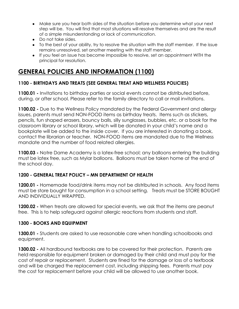- Make sure you hear both sides of the situation before you determine what your next step will be. You will find that most situations will resolve themselves and are the result of a simple misunderstanding or lack of communication.
- Do not take sides.
- To the best of your ability, try to resolve the situation with the staff member. If the issue remains unresolved, set another meeting with the staff member.
- If you feel an issue has become impossible to resolve, set an appointment WITH the principal for resolution.

# **GENERAL POLICIES AND INFORMATION (1100)**

# **1100 - BIRTHDAYS AND TREATS (SEE GENERAL TREAT AND WELLNESS POLICIES)**

**1100.01 -** Invitations to birthday parties or social events cannot be distributed before, during, or after school. Please refer to the family directory to call or mail invitations.

**1100.02 -** Due to the Wellness Policy mandated by the Federal Government and allergy issues, parents must send NON-FOOD items as birthday treats. Items such as stickers, pencils, fun shaped erasers, bouncy balls, silly sunglasses, bubbles, etc. or a book for the classroom library or school library, which will be donated in your child's name and a bookplate will be added to the inside cover. If you are interested in donating a book, contact the librarian or teacher. NON-FOOD items are mandated due to the Wellness mandate and the number of food related allergies.

**1100.03 -** Notre Dame Academy is a latex-free school; any balloons entering the building must be latex free, such as Mylar balloons. Balloons must be taken home at the end of the school day.

#### **1200 - GENERAL TREAT POLICY – MN DEPARTMENT OF HEALTH**

**1200.01 -** Homemade food/drink items may not be distributed in schools. Any food items must be store bought for consumption in a school setting. Treats must be STORE BOUGHT AND INDIVIDUALLY WRAPPED.

**1200.02 -** When treats are allowed for special events, we ask that the items are peanut free. This is to help safeguard against allergic reactions from students and staff.

#### **1300 - BOOKS AND EQUIPMENT**

**1300.01 -** Students are asked to use reasonable care when handling schoolbooks and equipment.

**1300.02 -** All hardbound textbooks are to be covered for their protection. Parents are held responsible for equipment broken or damaged by their child and must pay for the cost of repair or replacement. Students are fined for the damage or loss of a textbook and will be charged the replacement cost, including shipping fees. Parents must pay the cost for replacement before your child will be allowed to use another book.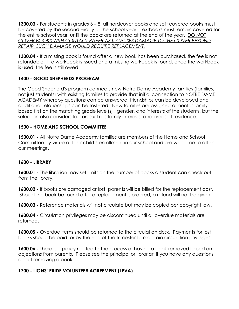**1300.03 -** For students in grades 3 – 8, all hardcover books and soft covered books must be covered by the second Friday of the school year. Textbooks must remain covered for the entire school year, until the books are returned at the end of the year. *DO NOT COVER BOOKS WITH CONTACT PAPER AS IT CAUSES DAMAGE TO THE COVER BEYOND REPAIR, SUCH DAMAGE WOULD REQUIRE REPLACEMENT.*

**1300.04 -** If a missing book is found after a new book has been purchased, the fee is not refundable. If a workbook is issued and a missing workbook is found, once the workbook is used, the fee is still owed.

### **1400 - GOOD SHEPHERDS PROGRAM**

The Good Shepherd's program connects new Notre Dame Academy families (families, not just students) with existing families to provide that initial connection to NOTRE DAME ACADEMY whereby questions can be answered, friendships can be developed and additional relationships can be fostered. New families are assigned a mentor family based first on the matching grade level(s) , gender, and interests of the students, but the selection also considers factors such as family interests, and areas of residence.

#### **1500 - HOME AND SCHOOL COMMITTEE**

**1500.01 -** All Notre Dame Academy families are members of the Home and School Committee by virtue of their child's enrollment in our school and are welcome to attend our meetings.

#### **1600 - LIBRARY**

**1600.01 -** The librarian may set limits on the number of books a student can check out from the library.

**1600.02 -** If books are damaged or lost, parents will be billed for the replacement cost. Should the book be found after a replacement is ordered, a refund will not be given.

**1600.03 -** Reference materials will not circulate but may be copied per copyright law.

**1600.04 -** Circulation privileges may be discontinued until all overdue materials are returned.

**1600.05 -** Overdue items should be returned to the circulation desk. Payments for lost books should be paid for by the end of the trimester to maintain circulation privileges.

**1600.06 -** There is a policy related to the process of having a book removed based on objections from parents. Please see the principal or librarian if you have any questions about removing a book.

#### **1700 - LIONS' PRIDE VOLUNTEER AGREEMENT (LPVA)**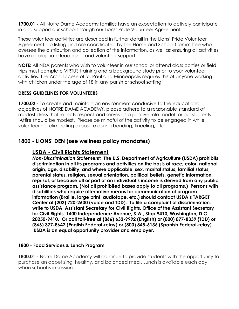**1700.01 -** All Notre Dame Academy families have an expectation to actively participate in and support our school through our Lions' Pride Volunteer Agreement.

These volunteer activities are described in further detail in the [Lions' Pride Volunteer](http://nda-mn.org/userfiles/file/Regional%20School/Lions%27%20Pride%20Agreement/2014-15/NDA%20LPVA%20job%20listings%2006_20_14%20_2014%20%20.pdf) [Agreement](http://nda-mn.org/userfiles/file/Regional%20School/Lions%27%20Pride%20Agreement/2014-15/NDA%20LPVA%20job%20listings%2006_20_14%20_2014%20%20.pdf) job listing and are coordinated by the Home and School Committee who oversee the distribution and collection of the information, as well as ensuring all activities have appropriate leadership and volunteer support.

**NOTE:** All NDA parents who wish to volunteer in our school or attend class parties or field trips must complete VIRTUS training and a background study prior to your volunteer activities. The Archdiocese of St. Paul and Minneapolis requires this of anyone working with children under the age of 18 in any parish or school setting.

#### **DRESS GUIDELINES FOR VOLUNTEERS**

**1700.02 -** To create and maintain an environment conducive to the educational objectives of NOTRE DAME ACADEMY, please adhere to a reasonable standard of modest dress that reflects respect and serves as a positive role model for our students. Attire should be modest. Please be mindful of the activity to be engaged in while volunteering, eliminating exposure during bending, kneeling, etc.

# **1800 - LIONS' DEN (see wellness policy mandates)**

# **USDA - Civil Rights Statement**

*Non-Discrimination Statement:*  **The U.S. Department of Agriculture (USDA) prohibits discrimination in all its programs and activities on the basis of race, color, national origin, age, disability, and where applicable, sex, marital status, familial status, parental status, religion, sexual orientation, political beliefs, genetic information, reprisal, or because all or part of an individual's income is derived from any public assistance program. (Not all prohibited bases apply to all programs.) Persons with disabilities who require alternative means for communication of program information (Braille, large print, audiotape, etc.) should contact USDA's TARGET Center at (202) 720-2600 (voice and TDD). To file a complaint of discrimination, write to USDA, Assistant Secretary for Civil Rights, Office of the Assistant Secretary for Civil Rights, 1400 Independence Avenue, S.W., Stop 9410, Washington, D.C. 20250-9410. Or call toll-free at (866) 632-9992 (English) or (800) 877-8339 (TDD) or (866) 377-8642 (English Federal-relay) or (800) 845-6136 (Spanish Federal-relay). USDA is an equal opportunity provider and employer.**

#### **1800 - Food Services & Lunch Program**

**1800.01 -** Notre Dame Academy will continue to provide students with the opportunity to purchase an appetizing, healthy, and balanced meal. Lunch is available each day when school is in session.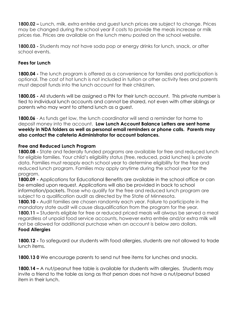**1800.02 –** Lunch, milk, extra entrée and guest lunch prices are subject to change. Prices may be changed during the school year if costs to provide the meals increase or milk prices rise. Prices are available on the lunch menu posted on the school website.

**1800.03 -** Students may not have soda pop or energy drinks for lunch, snack, or after school events.

### **Fees for Lunch**

**1800.04 -** The lunch program is offered as a convenience for families and participation is optional. The cost of hot lunch is not included in tuition or other activity fees and parents must deposit funds into the lunch account for their child/ren.

**1800.05 -** All students will be assigned a PIN for their lunch account. This private number is tied to individual lunch accounts and cannot be shared, not even with other siblings or parents who may want to attend lunch as a guest.

**1800.06** - As funds get low, the lunch coordinator will send a reminder for home to deposit money into the account. **Low Lunch Account Balance Letters are sent home weekly in NDA folders as well as personal email reminders or phone calls. Parents may also contact the cafeteria Administrator for account balances.**

#### **Free and Reduced Lunch Program**

**1800.08 -** State and federally funded programs are available for free and reduced lunch for eligible families. Your child's eligibility status (free, reduced, paid lunches) is private data. Families must reapply each school year to determine eligibility for the free and reduced lunch program. Families may apply anytime during the school year for the program.

**1800.09 -** Applications for Educational Benefits are available in the school office or can be emailed upon request. Applications will also be provided in back to school information/packets. Those who qualify for the free and reduced lunch program are subject to a qualification audit as directed by the State of Minnesota.

**1800.10 -** Audit families are chosen randomly each year. Failure to participate in the mandatory state audit will cause disqualification from the program for the year. **1800.11 –** Students eligible for free or reduced priced meals will always be served a meal regardless of unpaid food service accounts, however extra entrée and/or extra milk will not be allowed for additional purchase when an account is below zero dollars. **Food Allergies**

#### **1800.12 -** To safeguard our students with food allergies, students are not allowed to trade lunch items.

**1800.13 0** We encourage parents to send nut free items for lunches and snacks.

**1800.14 –** A nut/peanut free table is available for students with allergies. Students may invite a friend to the table as long as that person does not have a nut/peanut based item in their lunch.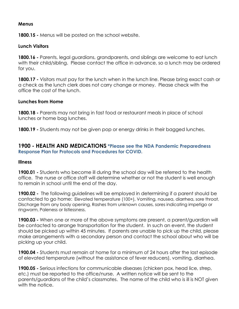#### **Menus**

**1800.15 -** Menus will be posted on the school website.

#### **Lunch Visitors**

**1800.16 -** Parents, legal guardians, grandparents, and siblings are welcome to eat lunch with their child/sibling. Please contact the office in advance, so a lunch may be ordered for you.

**1800.17 -** Visitors must pay for the lunch when in the lunch line. Please bring exact cash or a check as the lunch clerk does not carry change or money. Please check with the office the cost of the lunch.

#### **Lunches from Home**

**1800.18 -** Parents may not bring in fast food or restaurant meals in place of school lunches or home bag lunches.

**1800.19 -** Students may not be given pop or energy drinks in their bagged lunches.

#### **1900 - HEALTH AND MEDICATIONS \*Please see the NDA Pandemic Preparedness Response Plan for Protocols and Procedures for COVID.**

#### **Illness**

**1900.01 -** Students who become ill during the school day will be referred to the health office. The nurse or office staff will determine whether or not the student is well enough to remain in school until the end of the day.

**1900.02 -** The following guidelines will be employed in determining if a parent should be contacted to go home: Elevated temperature (100+), Vomiting, nausea, diarrhea, sore throat, Discharge from any body opening, Rashes from unknown causes, sores indicating impetigo or ringworm, Paleness or listlessness.

**1900.03 -** When one or more of the above symptoms are present, a parent/guardian will be contacted to arrange transportation for the student. In such an event, the student should be picked up within 45 minutes. If parents are unable to pick up the child, please make arrangements with a secondary person and contact the school about who will be picking up your child.

**1900.04 -** Students must remain at home for a minimum of 24 hours after the last episode of elevated temperature (without the assistance of fever reducers), vomiting, diarrhea.

**1900.05 -** Serious infections for communicable diseases (chicken pox, head lice, strep, etc.) must be reported to the office/nurse. A written notice will be sent to the parents/guardians of the child's classmates. The name of the child who is ill is NOT given with the notice.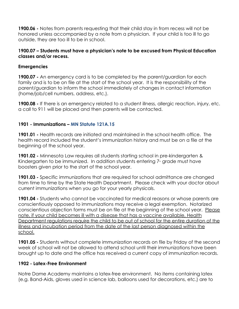**1900.06 -** Notes from parents requesting that their child stay in from recess will not be honored unless accompanied by a note from a physician. If your child is too ill to go outside, they are too ill to be in school.

#### **1900.07 – Students must have a physician's note to be excused from Physical Education classes and/or recess.**

#### **Emergencies**

**1900.07 -** An emergency card is to be completed by the parent/guardian for each family and is to be on file at the start of the school year. It is the responsibility of the parent/guardian to inform the school immediately of changes in contact information (home/job/cell numbers, address, etc.).

**1900.08 -** If there is an emergency related to a student illness, allergic reaction, injury, etc. a call to 911 will be placed and then parents will be contacted.

#### **1901 - Immunizations – MN Statute 121A.15**

**1901.01 -** Health records are initiated and maintained in the school health office. The health record included the student's immunization history and must be on a file at the beginning of the school year.

**1901.02 -** Minnesota Law requires all students starting school in pre-kindergarten & Kindergarten to be immunized. In addition students entering  $7$  arade must have boosters given prior to the start of the school year.

**1901.03 -** Specific immunizations that are required for school admittance are changed from time to time by the State Health Department. Please check with your doctor about current immunizations when you go for your yearly physicals.

**1901.04 -** Students who cannot be vaccinated for medical reasons or whose parents are conscientiously opposed to immunizations may receive a legal exemption. Notarized conscientious objection forms must be on file at the beginning of the school year. Please note, if your child becomes ill with a disease that has a vaccine available, Health Department regulations require the child to be out of school for the entire duration of the illness and incubation period from the date of the last person diagnosed within the school.

**1901.05 -** Students without complete immunization records on file by Friday of the second week of school will not be allowed to attend school until their immunizations have been brought up to date and the office has received a current copy of immunization records.

#### **1902 - Latex-Free Environment**

Notre Dame Academy maintains a latex-free environment. No items containing latex (e.g. Band-Aids, gloves used in science lab, balloons used for decorations, etc.) are to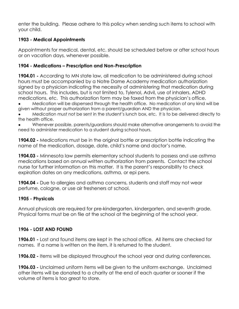enter the building. Please adhere to this policy when sending such items to school with your child.

### **1903 - Medical Appointments**

Appointments for medical, dental, etc. should be scheduled before or after school hours or on vacation days, whenever possible.

### **1904 - Medications – Prescription and Non-Prescription**

**1904.01 -** According to MN state law, all medication to be administered during school hours must be accompanied by a Notre Dame Academy medication authorization signed by a physician indicating the necessity of administering that medication during school hours. This includes, but is not limited to, Tylenol, Advil, use of inhalers, ADHD medications, etc. This authorization form may be faxed from the physician's office.

Medication will be dispensed through the health office. No medication of any kind will be given without proper authorization from a parent/guardian AND the physician.

Medication must not be sent in the student's lunch box, etc. It is to be delivered directly to the health office.

Whenever possible, parents/guardians should make alternative arrangements to avoid the need to administer medication to a student during school hours.

**1904.02 -** Medications must be in the original bottle or prescription bottle indicating the name of the medication, dosage, date, child's name and doctor's name.

**1904.03 -** Minnesota law permits elementary school students to possess and use asthma medications based on annual written authorization from parents. Contact the school nurse for further information on this matter. It is the parent's responsibility to check expiration dates on any medications, asthma, or epi pens.

**1904.04 -** Due to allergies and asthma concerns, students and staff may not wear perfume, cologne, or use air fresheners at school.

#### **1905 - Physicals**

Annual physicals are required for pre-kindergarten, kindergarten, and seventh grade. Physical forms must be on file at the school at the beginning of the school year.

# **1906 - LOST AND FOUND**

**1906.01 -** Lost and found items are kept in the school office. All items are checked for names. If a name is written on the item, it is returned to the student.

**1906.02 -** Items will be displayed throughout the school year and during conferences.

**1906.03 -** Unclaimed uniform items will be given to the uniform exchange. Unclaimed other items will be donated to a charity at the end of each quarter or sooner if the volume of items is too great to store.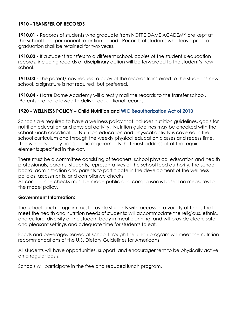### **1910 - TRANSFER OF RECORDS**

**1910.01 -** Records of students who graduate from NOTRE DAME ACADEMY are kept at the school for a permanent retention period. Records of students who leave prior to graduation shall be retained for two years.

**1910.02 -** If a student transfers to a different school, copies of the student's education records, including records of disciplinary action will be forwarded to the student's new school.

**1910.03 -** The parent/may request a copy of the records transferred to the student's new school, a signature is not required, but preferred.

**1910.04 -** Notre Dame Academy will directly mail the records to the transfer school. Parents are not allowed to deliver educational records.

#### **1920 - WELLNESS POLICY – Child Nutrition and WIC Reauthorization Act of 2010**

Schools are required to have a wellness policy that includes nutrition guidelines, goals for nutrition education and physical activity. Nutrition guidelines may be checked with the school lunch coordinator. Nutrition education and physical activity is covered in the school curriculum and through the weekly physical education classes and recess time. The wellness policy has specific requirements that must address all of the required elements specified in the act.

There must be a committee consisting of teachers, school physical education and health professionals, parents, students, representatives of the school food authority, the school board, administration and parents to participate in the development of the wellness policies, assessments, and compliance checks.

All compliance checks must be made public and comparison is based on measures to the model policy.

#### **Government Information:**

The school lunch program must provide students with access to a variety of foods that meet the health and nutrition needs of students; will accommodate the religious, ethnic, and cultural diversity of the student body in meal planning; and will provide clean, safe, and pleasant settings and adequate time for students to eat.

Foods and beverages served at school through the lunch program will meet the nutrition recommendations of the U.S. Dietary Guidelines for Americans.

All students will have opportunities, support, and encouragement to be physically active on a regular basis.

Schools will participate in the free and reduced lunch program.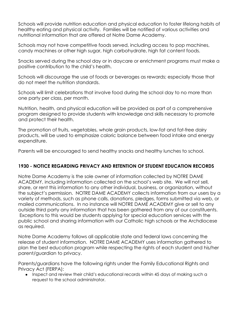Schools will provide nutrition education and physical education to foster lifelong habits of healthy eating and physical activity. Families will be notified of various activities and nutritional information that are offered at Notre Dame Academy.

Schools may not have competitive foods served, including access to pop machines, candy machines or other high sugar, high carbohydrate, high fat content foods.

Snacks served during the school day or in daycare or enrichment programs must make a positive contribution to the child's health.

Schools will discourage the use of foods or beverages as rewards; especially those that do not meet the nutrition standards.

Schools will limit celebrations that involve food during the school day to no more than one party per class, per month.

Nutrition, health, and physical education will be provided as part of a comprehensive program designed to provide students with knowledge and skills necessary to promote and protect their health.

The promotion of fruits, vegetables, whole grain products, low-fat and fat-free dairy products, will be used to emphasize caloric balance between food intake and energy expenditure.

Parents will be encouraged to send healthy snacks and healthy lunches to school.

#### **1930 - NOTICE REGARDING PRIVACY AND RETENTION OF STUDENT EDUCATION RECORDS**

Notre Dame Academy is the sole owner of information collected by NOTRE DAME ACADEMY, including information collected on the school's web site. We will not sell, share, or rent this information to any other individual, business, or organization, without the subject's permission. NOTRE DAME ACADEMY collects information from our users by a variety of methods, such as phone calls, donations, pledges, forms submitted via web, or mailed communications. In no instance will NOTRE DAME ACADEMY give or sell to any outside third party any information that has been gathered from any of our constituents. Exceptions to this would be students applying for special education services with the public school and sharing information with our Catholic high schools or the Archdiocese as required.

Notre Dame Academy follows all applicable state and federal laws concerning the release of student information. NOTRE DAME ACADEMY uses information gathered to plan the best education program while respecting the rights of each student and his/her parent/guardian to privacy.

Parents/guardians have the following rights under the Family Educational Rights and Privacy Act (FERPA):

● Inspect and review their child's educational records within 45 days of making such a request to the school administrator.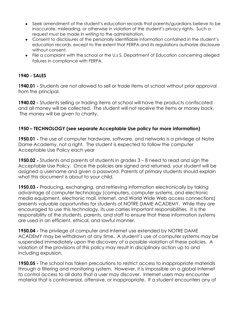- Seek amendment of the student's education records that parents/guardians believe to be inaccurate, misleading, or otherwise in violation of the student's privacy rights. Such a request must be made in writing to the administration.
- Consent to disclosures of the personally identifiable information contained in the student's education records, except to the extent that FERPA and its regulations authorize disclosure without consent.
- File a complaint with the school or the U.s S. Department of Education concerning alleged failures in compliance with FERPA.

#### **1940 - SALES**

**1940.01 -** Students are not allowed to sell or trade items at school without prior approval from the principal.

**1940.02 -** Students selling or trading items at school will have the products confiscated and all money will be collected. The student will not receive the items or money back. The money will be given to charity.

#### **1950 – TECHNOLOGY (see separate Acceptable Use policy for more information)**

**1950.01 -** The use of computer hardware, software, and networks is a privilege at Notre Dame Academy, not a right. The student is expected to follow the computer Acceptable Use Policy each year

**1950.02 -** Students and parents of students in grades 3 – 8 need to read and sign the Acceptable Use Policy. Once the policies are signed and returned, your student will be assigned a username and given a password. Parents of primary students should explain what this document is about to your child.

**1950.03 -** Producing, exchanging, and retrieving information electronically by taking advantage of computer technology (computers, computer systems, and electronic media equipment, electronic mail, Internet, and World Wide Web access connections) presents valuable opportunities for students of NOTRE DAME ACADEMY. While they are encouraged to use this technology, its use carries important responsibilities. It is the responsibility of the students, parents, and staff to ensure that these information systems are used in an efficient, ethical, and lawful manner.

**1950.04 -** The privilege of computer and Internet use extended by NOTRE DAME ACADEMY may be withdrawn at any time. A student's use of computer systems may be suspended immediately upon the discovery of a possible violation of these policies. A violation of the provisions of this policy may result in disciplinary action up to and including expulsion.

**1950.05 -** The school has taken precautions to restrict access to inappropriate materials through a filtering and monitoring system. However, it is impossible on a global Internet to control access to all data that a user may discover. Internet users may encounter material that is controversial, offensive, or inappropriate. If a student encounters any of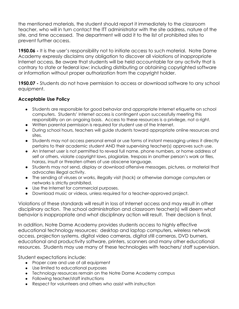the mentioned materials, the student should report it immediately to the classroom teacher, who will in turn contact the ITT administrator with the site address, nature of the site, and time accessed. The department will add it to the list of prohibited sites to prevent further access.

**1950.06 -** It is the user's responsibility not to initiate access to such material. Notre Dame Academy expressly disclaims any obligation to discover all violations of inappropriate Internet access. Be aware that students will be held accountable for any activity that is contrary to state or federal law; including distributing or obtaining copyrighted software or information without proper authorization from the copyright holder.

**1950.07 -** Students do not have permission to access or download software to any school equipment.

#### **Acceptable Use Policy**

- Students are responsible for good behavior and appropriate Internet etiquette on school computers. Students' Internet access is contingent upon successfully meeting this responsibility on an ongoing basis. Access to these resources is a privilege, not a right.
- Written parental permission is required for student use of the Internet.
- During school hours, teachers will guide students toward appropriate online resources and sites.
- Students may not access personal email or use forms of instant messaging unless it directly pertains to their academic student AND their supervising teacher(s) approves such use.
- An Internet user is not permitted to reveal full name, phone numbers, or home address of self or others, violate copyright laws, plagiarize, trespass in another person's work or files, harass, insult or threaten others of use obscene language.
- Students may not send, display or download offensive messages, pictures, or material that advocates illegal activity.
- The sending of viruses or works, illegally visit (hack) or otherwise damage computers or networks is strictly prohibited.
- Use the Internet for commercial purposes.
- Download music or videos, unless required for a teacher-approved project.

Violations of these standards will result in loss of Internet access and may result in other disciplinary action. The school administration and classroom teacher(s) will deem what behavior is inappropriate and what disciplinary action will result. Their decision is final.

In addition, Notre Dame Academy provides students access to highly effective educational technology resources: desktop and laptop computers, wireless network access, projection systems, digital video cameras, digital still cameras, DVD burners, educational and productivity software, printers, scanners and many other educational resources. Students may use many of these technologies with teachers/ staff supervision.

Student expectations include:

- Proper care and use of all equipment
- Use limited to educational purposes
- Technology resources remain on the Notre Dame Academy campus
- Following teacher/staff instructions
- Respect for volunteers and others who assist with instruction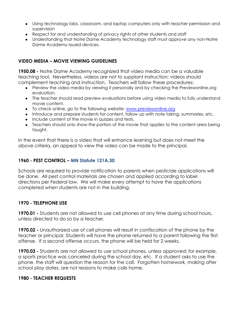- Using technology labs, classroom, and laptop computers only with teacher permission and supervision
- Respect for and understanding of privacy rights of other students and staff
- Understanding that Notre Dame Academy technology staff must approve any non-Notre Dame Academy issued devices.

#### **VIDEO MEDIA – MOVIE VIEWING GUIDELINES**

**1950.08 -** Notre Dame Academy recognized that video media can be a valuable teaching tool. Nevertheless, videos are not to supplant instruction; videos should complement teaching and instruction. Teachers will follow these procedures:

- Preview the video media by viewing it personally and by checking the Previewonline.org evaluation.
- The teacher should read preview evaluations before using video media to fully understand movie content.
- To check online, go to the following website: [www.previewonline.org](http://www.previewonline.org)
- Introduce and prepare students for content, follow up with note taking, summaries, etc.
- Include content of the movie in quizzes and tests.
- Teachers should only show the portion of the movie that applies to the content area being taught.

In the event that there is a video that will enhance learning but does not meet the above criteria, an appeal to view the video can be made to the principal.

#### **1960 - PEST CONTROL – MN Statute 121A.30**

Schools are required to provide notification to parents when pesticide applications will be done. All pest control materials are chosen and applied according to label directions per Federal law. We will make every attempt to have the applications completed when students are not in the building.

#### **1970 - TELEPHONE USE**

**1970.01 -** Students are not allowed to use cell phones at any time during school hours, unless directed to do so by a teacher.

**1970.02 -** Unauthorized use of cell phones will result in confiscation of the phone by the teacher or principal. Students will have the phone returned to a parent following the first offense. If a second offense occurs, the phone will be held for 2 weeks.

**1970.03 -** Students are not allowed to use school phones, unless approved; for example, a sports practice was canceled during the school day, etc. If a student asks to use the phone, the staff will question the reason for the call. Forgotten homework, making after school play dates, are not reasons to make calls home.

#### **1980 - TEACHER REQUESTS**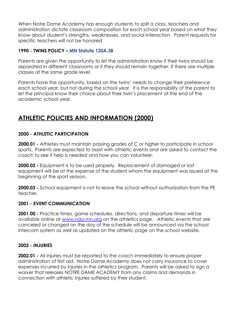When Notre Dame Academy has enough students to split a class, teachers and administration dictate classroom composition for each school year based on what they know about student's strengths, weaknesses, and social interaction. Parent requests for specific teachers will not be honored

#### **1990 - TWINS POLICY – MN Statute 120A.38**

Parents are given the opportunity to let the administration know if their twins should be separated in different classrooms or if they should remain together, if there are multiple classes at the same grade level.

Parents have the opportunity, based on the twins' needs to change their preference each school year, but not during the school year. It is the responsibility of the parent to let the principal know their choice about their twin's placement at the end of the academic school year.

# **ATHLETIC POLICIES AND INFORMATION (2000)**

#### **2000 - ATHLETIC PARTICIPATION**

**2000.01 -** Athletes must maintain passing grades of C or higher to participate in school sports. Parents are expected to assist with athletic events and are asked to contact the coach to see if help is needed and how you can volunteer.

**2000.02 -** Equipment is to be used properly. Replacement of damaged or lost equipment will be at the expense of the student whom the equipment was issued at the beginning of the sport season.

**2000.03 -** School equipment is not to leave the school without authorization from the PE teacher.

#### **2001 - EVENT COMMUNICATION**

**2001.00 -** Practice times, game schedules, directions, and departure times will be available online at [www.nda-mn.org](http://www.nda-mn.org) on the athletics page. Athletic events that are canceled or changed on the day of the schedule will be announced via the school intercom system as well as updated on the athletic page on the school website.

#### **2002 - INJURIES**

**2002.01 -** All injuries must be reported to the coach immediately to ensure proper administration of first aid. Notre Dame Academy does not carry insurance to cover expenses incurred by injuries in the athletics program. Parents will be asked to sign a waiver that releases NOTRE DAME ACADEMY from any claims and demands in connection with athletic injuries suffered by their student.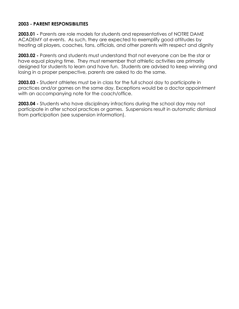#### **2003 - PARENT RESPONSIBILITIES**

**2003.01 -** Parents are role models for students and representatives of NOTRE DAME ACADEMY at events. As such, they are expected to exemplify good attitudes by treating all players, coaches, fans, officials, and other parents with respect and dignity

**2003.02 -** Parents and students must understand that not everyone can be the star or have equal playing time. They must remember that athletic activities are primarily desianed for students to learn and have fun. Students are advised to keep winning and losing in a proper perspective, parents are asked to do the same.

**2003.03 -** Student athletes must be in class for the full school day to participate in practices and/or games on the same day. Exceptions would be a doctor appointment with an accompanying note for the coach/office.

**2003.04 -** Students who have disciplinary infractions during the school day may not participate in after school practices or games. Suspensions result in automatic dismissal from participation (see suspension information).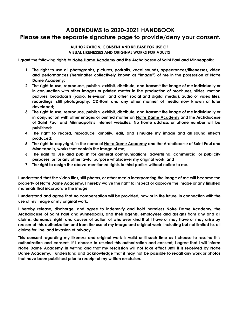# **ADDENDUMS to 2020-2021 HANDBOOK Please see the separate signature page to provide/deny your consent.**

#### **AUTHORIZATION, CONSENT AND RELEASE FOR USE OF VISUAL LIKENESSES AND ORIGINAL WORKS FOR ADULTS**

**I grant the following rights to Notre Dame Academy and the Archdiocese of Saint Paul and Minneapolis:**

- **1. The right to use all photographs, pictures, portraits, vocal sounds, appearances/likenesses, video and performances (hereinafter collectively known as "image") of me in the possession of Notre Dame Academy:**
- 2. The right to use, reproduce, publish, exhibit, distribute, and transmit the image of me individually or **in conjunction with other images or printed matter in the production of brochures, slides, motion pictures, broadcasts (radio, television, and other social and digital media), audio or video files, recordings, still photography, CD-Rom and any other manner of media now known or later developed;**
- 3. The right to use, reproduce, publish, exhibit, distribute, and transmit the image of me individually or **in conjunction with other images or printed matter on Notre Dame Academy and the Archdiocese of Saint Paul and Minneapolis's Internet websites. No home address or phone number will be published;**
- **4. The right to record, reproduce, amplify, edit, and simulate my image and all sound effects produced;**
- 5. The right to copyright, in the name of Notre Dame Academy and the Archdiocese of Saint Paul and **Minneapolis, works that contain the image of me;**
- **6. The right to use and publish for general communications, advertising, commercial or publicity purposes, or for any other lawful purpose whatsoever my original work; and**
- **7. The right to assign the above-mentioned rights to third parties without notice to me.**

I understand that the video files, still photos, or other media incorporating the image of me will become the property of Notre Dame Academy. I hereby waive the right to inspect or approve the image or any finished **materials that incorporate the image.**

I understand and agree that no compensation will be provided, now or in the future, in connection with the **use of my image or my original work.**

**I hereby release, discharge, and agree to indemnify and hold harmless Notre Dame Academy, the Archdiocese of Saint Paul and Minneapolis, and their agents, employees and assigns from any and all** claims, demands, right, and causes of action of whatever kind that I have or may have or may arise by reason of this authorization and from the use of my image and original work, including but not limited to, all **claims for libel and invasion of privacy.**

This consent regarding my likeness and original work is valid until such time as I choose to rescind this authorization and consent. If I choose to rescind this authorization and consent, I agree that I will inform Notre Dame Academy in writing and that my rescission will not take effect until it is received by Notre Dame Academy. I understand and acknowledge that it may not be possible to recall any work or photos **that have been published prior to receipt of my written rescission.**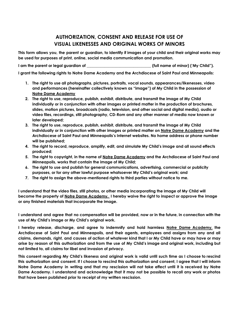# **AUTHORIZATION, CONSENT AND RELEASE FOR USE OF VISUAL LIKENESSES AND ORIGINAL WORKS OF MINORS**

This form allows you, the parent or guardian, to identify if images of your child and their original works may **be used for purposes of print, online, social media communication and promotion.**

**I am the parent or legal guardian of \_\_\_\_\_\_\_\_\_\_\_\_\_\_\_\_\_\_\_\_\_\_\_\_\_\_\_\_\_\_\_\_\_ (full name of minor) ('My Child").**

**I grant the following rights to Notre Dame Academy and the Archdiocese of Saint Paul and Minneapolis:**

- **1. The right to use all photographs, pictures, portraits, vocal sounds, appearances/likenesses, video and performances (hereinafter collectively known as "image") of My Child in the possession of Notre Dame Academy**
- **2. The right to use, reproduce, publish, exhibit, distribute, and transmit the image of My Child individually or in conjunction with other images or printed matter in the production of brochures, slides, motion pictures, broadcasts (radio, television, and other social and digital media), audio or video files, recordings, still photography, CD-Rom and any other manner of media now known or later developed;**
- **3. The right to use, reproduce, publish, exhibit, distribute, and transmit the image of My Child individually or in conjunction with other images or printed matter on Notre Dame Academy and the Archdiocese of Saint Paul and Minneapolis's Internet websites. No home address or phone number will be published;**
- **4. The right to record, reproduce, amplify, edit, and simulate My Child's image and all sound effects produced;**
- 5. The right to copyright, in the name of Notre Dame Academy and the Archdiocese of Saint Paul and **Minneapolis, works that contain the image of My Child;**
- **6. The right to use and publish for general communications, advertising, commercial or publicity purposes, or for any other lawful purpose whatsoever My Child's original work; and**
- **7. The right to assign the above-mentioned rights to third parties without notice to me.**

I understand that the video files, still photos, or other media incorporating the image of My Child will become the property of <u>Notre Dame Academy.</u> I hereby waive the right to inspect or approve the image **or any finished materials that incorporate the image.**

I understand and agree that no compensation will be provided, now or in the future, in connection with the **use of My Child's image or My Child's original work.**

**I hereby release, discharge, and agree to indemnify and hold harmless Notre Dame Academy, the Archdiocese of Saint Paul and Minneapolis, and their agents, employees and assigns from any and all** claims, demands, right, and causes of action of whatever kind that I or My Child have or may have or may arise by reason of this authorization and from the use of My Child's image and original work, including but **not limited to, all claims for libel and invasion of privacy.**

This consent regarding My Child's likeness and original work is valid until such time as I choose to rescind this authorization and consent. If I choose to rescind this authorization and consent, I agree that I will inform Notre Dame Academy in writing and that my rescission will not take effect until it is received by Notre Dame Academy. I understand and acknowledge that it may not be possible to recall any work or photos **that have been published prior to receipt of my written rescission.**